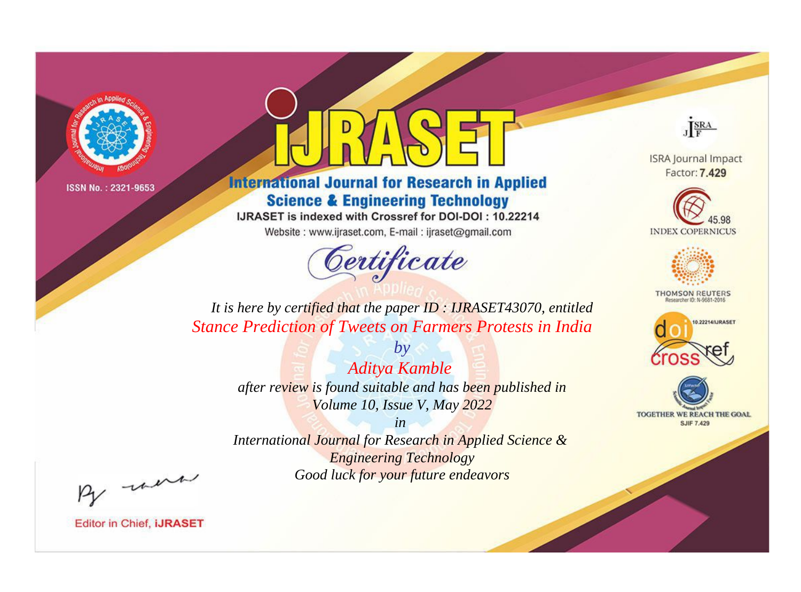

# **International Journal for Research in Applied Science & Engineering Technology**

IJRASET is indexed with Crossref for DOI-DOI: 10.22214

Website: www.ijraset.com, E-mail: ijraset@gmail.com



JERA

**ISRA Journal Impact** Factor: 7.429





**THOMSON REUTERS** 



TOGETHER WE REACH THE GOAL **SJIF 7.429** 

*It is here by certified that the paper ID : IJRASET43070, entitled Stance Prediction of Tweets on Farmers Protests in India*

> *Aditya Kamble after review is found suitable and has been published in Volume 10, Issue V, May 2022*

*by*

*in* 

*International Journal for Research in Applied Science & Engineering Technology Good luck for your future endeavors*

By morn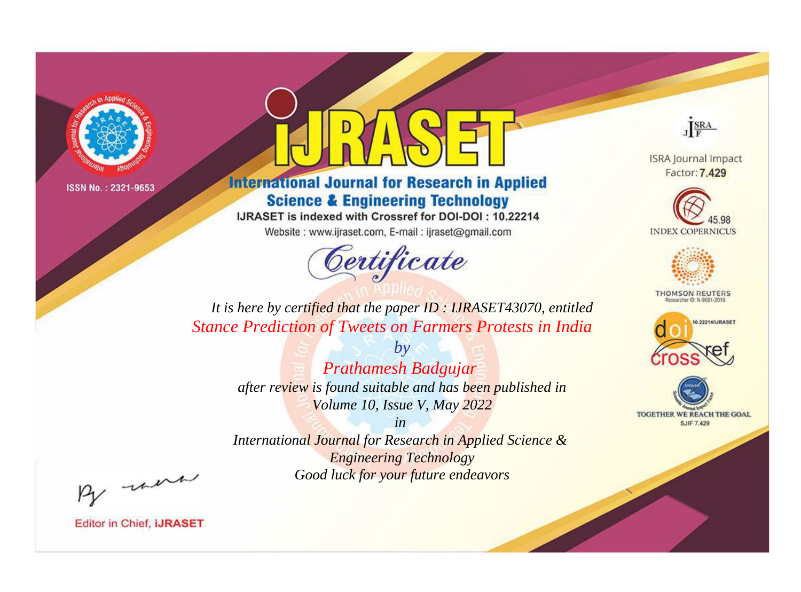

# **International Journal for Research in Applied Science & Engineering Technology**

IJRASET is indexed with Crossref for DOI-DOI: 10.22214

Website: www.ijraset.com, E-mail: ijraset@gmail.com



JERA

**ISRA Journal Impact** Factor: 7.429





**THOMSON REUTERS** 



TOGETHER WE REACH THE GOAL **SJIF 7.429** 

*It is here by certified that the paper ID : IJRASET43070, entitled Stance Prediction of Tweets on Farmers Protests in India*

> *by Prathamesh Badgujar after review is found suitable and has been published in Volume 10, Issue V, May 2022*

> *in International Journal for Research in Applied Science &*

*Engineering Technology Good luck for your future endeavors*

By morn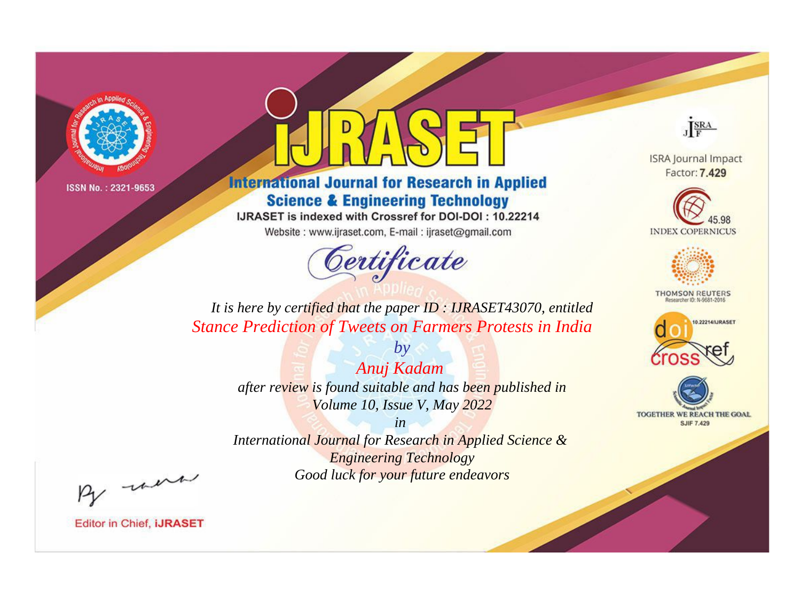

# **International Journal for Research in Applied Science & Engineering Technology**

IJRASET is indexed with Crossref for DOI-DOI: 10.22214

Website: www.ijraset.com, E-mail: ijraset@gmail.com



JERA

**ISRA Journal Impact** Factor: 7.429





**THOMSON REUTERS** 



TOGETHER WE REACH THE GOAL **SJIF 7.429** 

*It is here by certified that the paper ID : IJRASET43070, entitled Stance Prediction of Tweets on Farmers Protests in India*

> *by Anuj Kadam after review is found suitable and has been published in Volume 10, Issue V, May 2022*

> > *in*

*International Journal for Research in Applied Science & Engineering Technology Good luck for your future endeavors*

By morn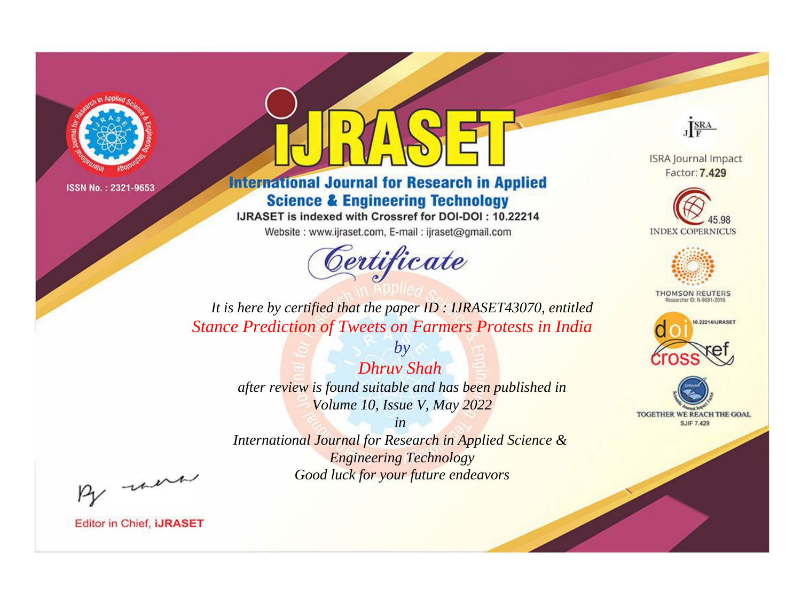

# **International Journal for Research in Applied Science & Engineering Technology**

IJRASET is indexed with Crossref for DOI-DOI: 10.22214

Website: www.ijraset.com, E-mail: ijraset@gmail.com



JERA

**ISRA Journal Impact** Factor: 7.429





**THOMSON REUTERS** 



TOGETHER WE REACH THE GOAL **SJIF 7.429** 

*It is here by certified that the paper ID : IJRASET43070, entitled Stance Prediction of Tweets on Farmers Protests in India*

> *Dhruv Shah after review is found suitable and has been published in Volume 10, Issue V, May 2022*

*by*

*in* 

*International Journal for Research in Applied Science & Engineering Technology Good luck for your future endeavors*

By morn